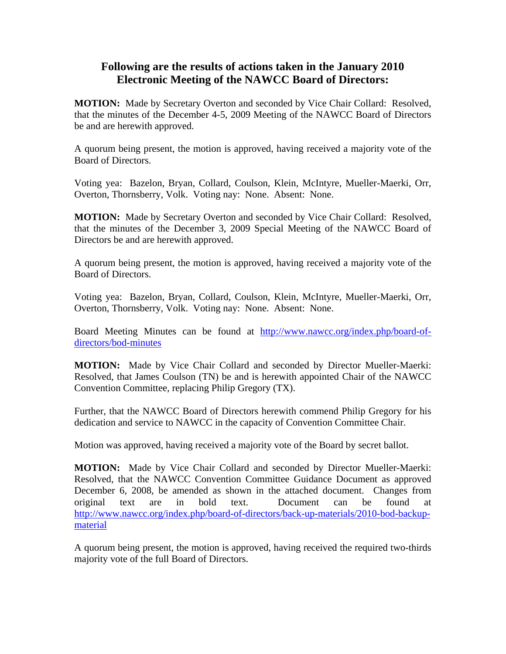## **Following are the results of actions taken in the January 2010 Electronic Meeting of the NAWCC Board of Directors:**

**MOTION:** Made by Secretary Overton and seconded by Vice Chair Collard: Resolved, that the minutes of the December 4-5, 2009 Meeting of the NAWCC Board of Directors be and are herewith approved.

A quorum being present, the motion is approved, having received a majority vote of the Board of Directors.

Voting yea: Bazelon, Bryan, Collard, Coulson, Klein, McIntyre, Mueller-Maerki, Orr, Overton, Thornsberry, Volk. Voting nay: None. Absent: None.

**MOTION:** Made by Secretary Overton and seconded by Vice Chair Collard: Resolved, that the minutes of the December 3, 2009 Special Meeting of the NAWCC Board of Directors be and are herewith approved.

A quorum being present, the motion is approved, having received a majority vote of the Board of Directors.

Voting yea: Bazelon, Bryan, Collard, Coulson, Klein, McIntyre, Mueller-Maerki, Orr, Overton, Thornsberry, Volk. Voting nay: None. Absent: None.

Board Meeting Minutes can be found at [http://www.nawcc.org/index.php/board-of](http://www.nawcc.org/index.php/board-of-directors/bod-minutes)[directors/bod-minutes](http://www.nawcc.org/index.php/board-of-directors/bod-minutes)

**MOTION:** Made by Vice Chair Collard and seconded by Director Mueller-Maerki: Resolved, that James Coulson (TN) be and is herewith appointed Chair of the NAWCC Convention Committee, replacing Philip Gregory (TX).

Further, that the NAWCC Board of Directors herewith commend Philip Gregory for his dedication and service to NAWCC in the capacity of Convention Committee Chair.

Motion was approved, having received a majority vote of the Board by secret ballot.

**MOTION:** Made by Vice Chair Collard and seconded by Director Mueller-Maerki: Resolved, that the NAWCC Convention Committee Guidance Document as approved December 6, 2008, be amended as shown in the attached document. Changes from original text are in bold text. Document can be found at [http://www.nawcc.org/index.php/board-of-directors/back-up-materials/2010-bod-backup](http://www.nawcc.org/index.php/board-of-directors/back-uo-materials/2010-bod-backup-material)[material](http://www.nawcc.org/index.php/board-of-directors/back-uo-materials/2010-bod-backup-material)

A quorum being present, the motion is approved, having received the required two-thirds majority vote of the full Board of Directors.